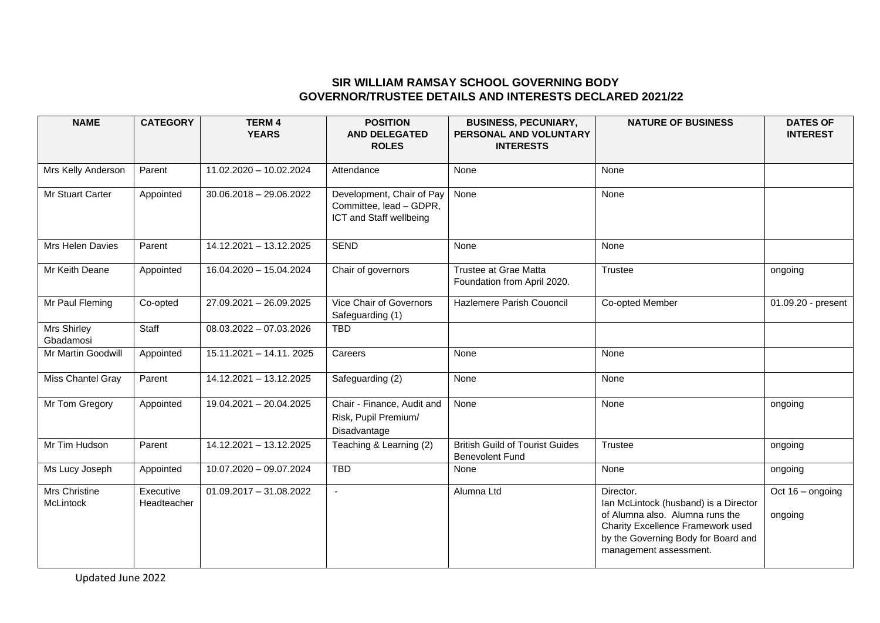## **SIR WILLIAM RAMSAY SCHOOL GOVERNING BODY GOVERNOR/TRUSTEE DETAILS AND INTERESTS DECLARED 2021/22**

| <b>NAME</b>                | <b>CATEGORY</b>          | <b>TERM4</b><br><b>YEARS</b> | <b>POSITION</b><br><b>AND DELEGATED</b><br><b>ROLES</b>                         | <b>BUSINESS, PECUNIARY,</b><br>PERSONAL AND VOLUNTARY<br><b>INTERESTS</b> | <b>NATURE OF BUSINESS</b>                                                                                                                                                                   | <b>DATES OF</b><br><b>INTEREST</b> |
|----------------------------|--------------------------|------------------------------|---------------------------------------------------------------------------------|---------------------------------------------------------------------------|---------------------------------------------------------------------------------------------------------------------------------------------------------------------------------------------|------------------------------------|
| Mrs Kelly Anderson         | Parent                   | 11.02.2020 - 10.02.2024      | Attendance                                                                      | None                                                                      | None                                                                                                                                                                                        |                                    |
| Mr Stuart Carter           | Appointed                | $30.06.2018 - 29.06.2022$    | Development, Chair of Pay<br>Committee, lead - GDPR,<br>ICT and Staff wellbeing | None                                                                      | None                                                                                                                                                                                        |                                    |
| Mrs Helen Davies           | Parent                   | 14.12.2021 - 13.12.2025      | <b>SEND</b>                                                                     | None                                                                      | None                                                                                                                                                                                        |                                    |
| Mr Keith Deane             | Appointed                | 16.04.2020 - 15.04.2024      | Chair of governors                                                              | <b>Trustee at Grae Matta</b><br>Foundation from April 2020.               | Trustee                                                                                                                                                                                     | ongoing                            |
| Mr Paul Fleming            | Co-opted                 | 27.09.2021 - 26.09.2025      | Vice Chair of Governors<br>Safeguarding (1)                                     | Hazlemere Parish Couoncil                                                 | Co-opted Member                                                                                                                                                                             | 01.09.20 - present                 |
| Mrs Shirley<br>Gbadamosi   | Staff                    | $08.03.2022 - 07.03.2026$    | <b>TBD</b>                                                                      |                                                                           |                                                                                                                                                                                             |                                    |
| Mr Martin Goodwill         | Appointed                | 15.11.2021 - 14.11. 2025     | Careers                                                                         | None                                                                      | None                                                                                                                                                                                        |                                    |
| Miss Chantel Gray          | Parent                   | 14.12.2021 - 13.12.2025      | Safeguarding (2)                                                                | None                                                                      | None                                                                                                                                                                                        |                                    |
| Mr Tom Gregory             | Appointed                | 19.04.2021 - 20.04.2025      | Chair - Finance, Audit and<br>Risk, Pupil Premium/<br>Disadvantage              | None                                                                      | None                                                                                                                                                                                        | ongoing                            |
| Mr Tim Hudson              | Parent                   | 14.12.2021 - 13.12.2025      | Teaching & Learning (2)                                                         | <b>British Guild of Tourist Guides</b><br><b>Benevolent Fund</b>          | Trustee                                                                                                                                                                                     | ongoing                            |
| Ms Lucy Joseph             | Appointed                | 10.07.2020 - 09.07.2024      | <b>TBD</b>                                                                      | None                                                                      | None                                                                                                                                                                                        | ongoing                            |
| Mrs Christine<br>McLintock | Executive<br>Headteacher | $01.09.2017 - 31.08.2022$    | $\sim$                                                                          | Alumna Ltd                                                                | Director.<br>Ian McLintock (husband) is a Director<br>of Alumna also. Alumna runs the<br>Charity Excellence Framework used<br>by the Governing Body for Board and<br>management assessment. | Oct $16 -$ ongoing<br>ongoing      |